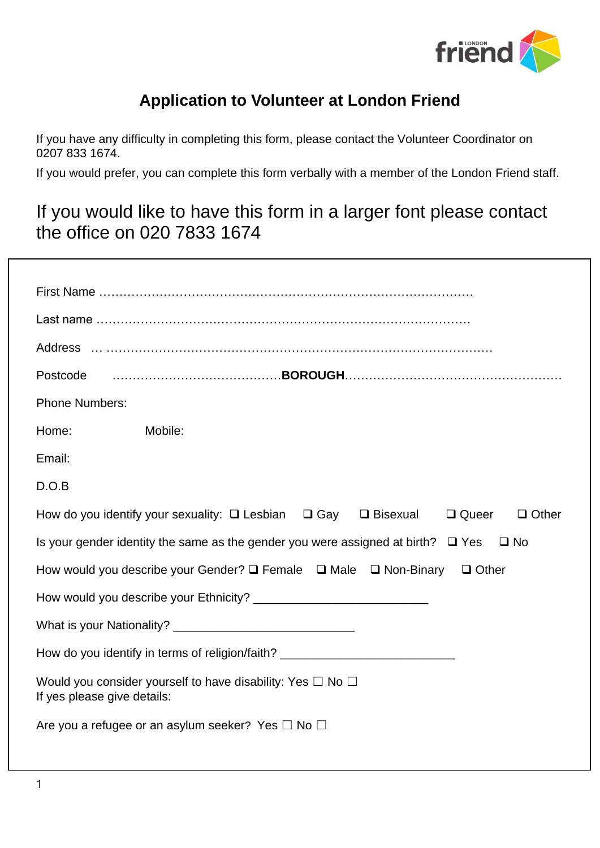

# **Application to Volunteer at London Friend**

If you have any difficulty in completing this form, please contact the Volunteer Coordinator on 0207 833 1674.

If you would prefer, you can complete this form verbally with a member of the London Friend staff.

# If you would like to have this form in a larger font please contact the office on 020 7833 1674

| Postcode                                                                                                      |  |  |  |  |
|---------------------------------------------------------------------------------------------------------------|--|--|--|--|
| <b>Phone Numbers:</b>                                                                                         |  |  |  |  |
| Home:<br>Mobile:                                                                                              |  |  |  |  |
| Email:                                                                                                        |  |  |  |  |
| D.O.B                                                                                                         |  |  |  |  |
| How do you identify your sexuality: $\Box$ Lesbian $\Box$ Gay $\Box$ Bisexual<br>$\Box$ Queer<br>$\Box$ Other |  |  |  |  |
| Is your gender identity the same as the gender you were assigned at birth? $\Box$ Yes<br>⊟ No                 |  |  |  |  |
| How would you describe your Gender? $\square$ Female $\square$ Male $\square$ Non-Binary<br>$\Box$ Other      |  |  |  |  |
| How would you describe your Ethnicity?                                                                        |  |  |  |  |
|                                                                                                               |  |  |  |  |
| How do you identify in terms of religion/faith? ________________________________                              |  |  |  |  |
| Would you consider yourself to have disability: Yes $\Box$ No $\Box$<br>If yes please give details:           |  |  |  |  |
| Are you a refugee or an asylum seeker? Yes $\Box$ No $\Box$                                                   |  |  |  |  |
|                                                                                                               |  |  |  |  |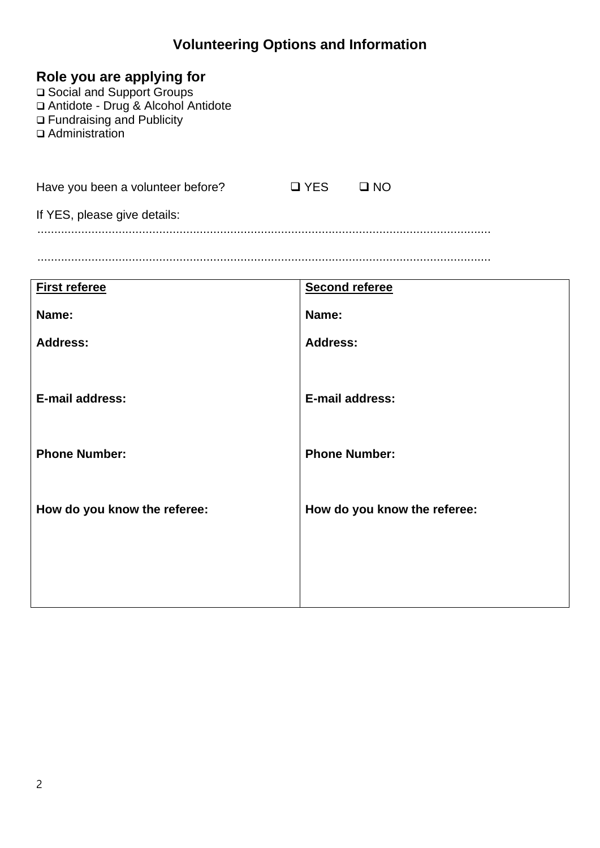### **Volunteering Options and Information**

|  | Role you are applying for |  |
|--|---------------------------|--|
|  |                           |  |

❑ Social and Support Groups ❑ Antidote - Drug & Alcohol Antidote ❑ Fundraising and Publicity ❑ Administration

Have you been a volunteer before?  $□$  YES  $□$  NO

If YES, please give details:

......................................................................................................................................

......................................................................................................................................

| <b>First referee</b>         | <b>Second referee</b>        |
|------------------------------|------------------------------|
| Name:                        | Name:                        |
| <b>Address:</b>              | <b>Address:</b>              |
|                              |                              |
| <b>E-mail address:</b>       | E-mail address:              |
|                              |                              |
| <b>Phone Number:</b>         | <b>Phone Number:</b>         |
|                              |                              |
| How do you know the referee: | How do you know the referee: |
|                              |                              |
|                              |                              |
|                              |                              |